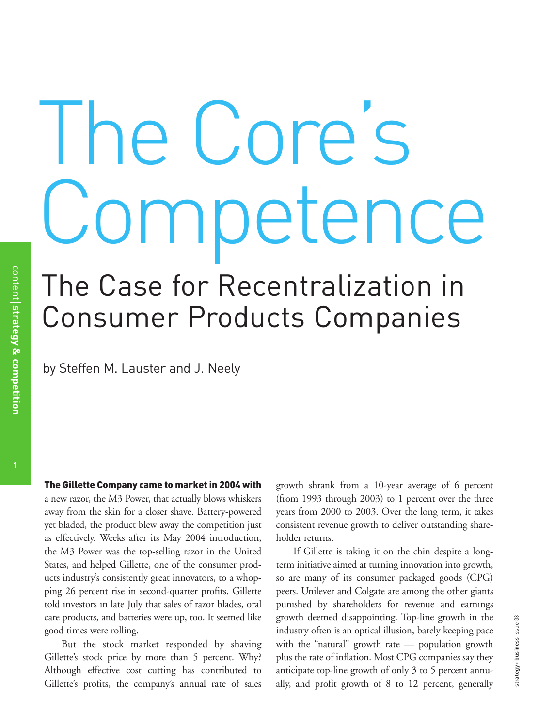# The Core's Competence

# The Case for Recentralization in Consumer Products Companies

by Steffen M. Lauster and J. Neely

# The Gillette Company came to market in 2004 with

a new razor, the M3 Power, that actually blows whiskers away from the skin for a closer shave. Battery-powered yet bladed, the product blew away the competition just as effectively. Weeks after its May 2004 introduction, the M3 Power was the top-selling razor in the United States, and helped Gillette, one of the consumer products industry's consistently great innovators, to a whopping 26 percent rise in second-quarter profits. Gillette told investors in late July that sales of razor blades, oral care products, and batteries were up, too. It seemed like good times were rolling.

But the stock market responded by shaving Gillette's stock price by more than 5 percent. Why? Although effective cost cutting has contributed to Gillette's profits, the company's annual rate of sales growth shrank from a 10-year average of 6 percent (from 1993 through 2003) to 1 percent over the three years from 2000 to 2003. Over the long term, it takes consistent revenue growth to deliver outstanding shareholder returns.

If Gillette is taking it on the chin despite a longterm initiative aimed at turning innovation into growth, so are many of its consumer packaged goods (CPG) peers. Unilever and Colgate are among the other giants punished by shareholders for revenue and earnings growth deemed disappointing. Top-line growth in the industry often is an optical illusion, barely keeping pace with the "natural" growth rate — population growth plus the rate of inflation. Most CPG companies say they anticipate top-line growth of only 3 to 5 percent annually, and profit growth of 8 to 12 percent, generally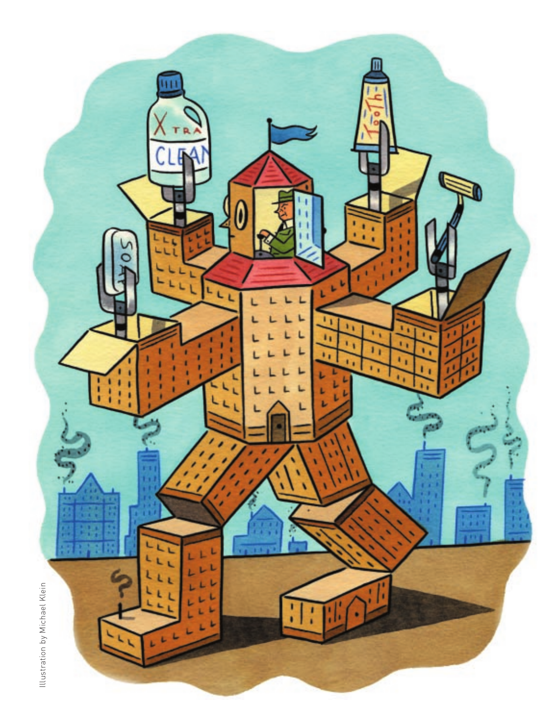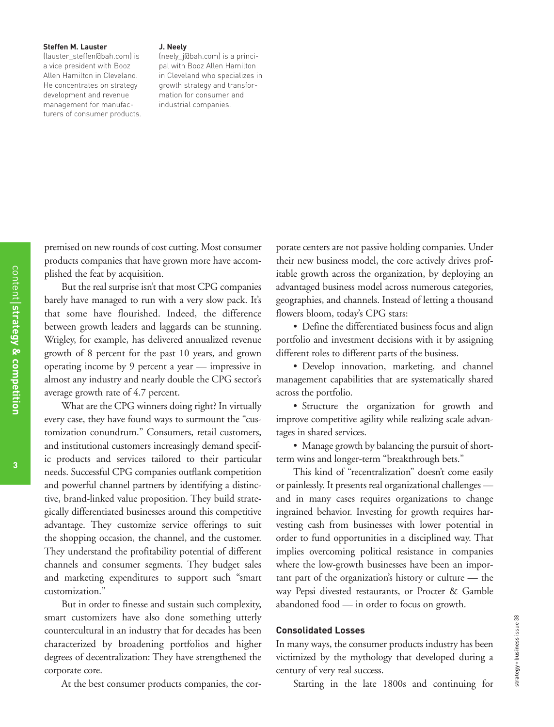### **Steffen M. Lauster**

(lauster\_steffen@bah.com) is a vice president with Booz Allen Hamilton in Cleveland. He concentrates on strategy development and revenue management for manufacturers of consumer products.

#### **J. Neely**

(neely\_j@bah.com) is a principal with Booz Allen Hamilton in Cleveland who specializes in growth strategy and transformation for consumer and industrial companies.

premised on new rounds of cost cutting. Most consumer products companies that have grown more have accomplished the feat by acquisition.

But the real surprise isn't that most CPG companies barely have managed to run with a very slow pack. It's that some have flourished. Indeed, the difference between growth leaders and laggards can be stunning. Wrigley, for example, has delivered annualized revenue growth of 8 percent for the past 10 years, and grown operating income by 9 percent a year — impressive in almost any industry and nearly double the CPG sector's average growth rate of 4.7 percent.

What are the CPG winners doing right? In virtually every case, they have found ways to surmount the "customization conundrum." Consumers, retail customers, and institutional customers increasingly demand specific products and services tailored to their particular needs. Successful CPG companies outflank competition and powerful channel partners by identifying a distinctive, brand-linked value proposition. They build strategically differentiated businesses around this competitive advantage. They customize service offerings to suit the shopping occasion, the channel, and the customer. They understand the profitability potential of different channels and consumer segments. They budget sales and marketing expenditures to support such "smart customization."

But in order to finesse and sustain such complexity, smart customizers have also done something utterly countercultural in an industry that for decades has been characterized by broadening portfolios and higher degrees of decentralization: They have strengthened the corporate core.

At the best consumer products companies, the cor-

porate centers are not passive holding companies. Under their new business model, the core actively drives profitable growth across the organization, by deploying an advantaged business model across numerous categories, geographies, and channels. Instead of letting a thousand flowers bloom, today's CPG stars:

• Define the differentiated business focus and align portfolio and investment decisions with it by assigning different roles to different parts of the business.

• Develop innovation, marketing, and channel management capabilities that are systematically shared across the portfolio.

• Structure the organization for growth and improve competitive agility while realizing scale advantages in shared services.

• Manage growth by balancing the pursuit of shortterm wins and longer-term "breakthrough bets."

This kind of "recentralization" doesn't come easily or painlessly. It presents real organizational challenges and in many cases requires organizations to change ingrained behavior. Investing for growth requires harvesting cash from businesses with lower potential in order to fund opportunities in a disciplined way. That implies overcoming political resistance in companies where the low-growth businesses have been an important part of the organization's history or culture — the way Pepsi divested restaurants, or Procter & Gamble abandoned food — in order to focus on growth.

# **Consolidated Losses**

In many ways, the consumer products industry has been victimized by the mythology that developed during a century of very real success.

Starting in the late 1800s and continuing for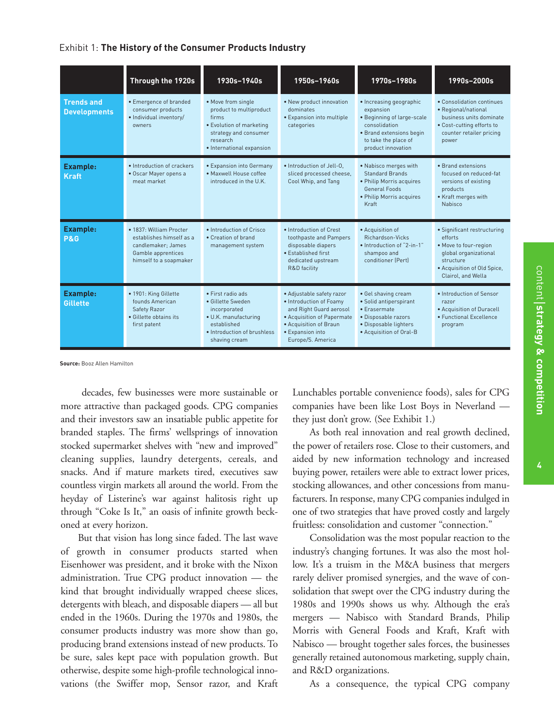# Exhibit 1: **The History of the Consumer Products Industry**

|                                          | Through the 1920s                                                                                                         | 1930s-1940s                                                                                                                                          | 1950s-1960s                                                                                                                                                                      | 1970s-1980s                                                                                                                                                   | 1990s-2000s                                                                                                                                                |
|------------------------------------------|---------------------------------------------------------------------------------------------------------------------------|------------------------------------------------------------------------------------------------------------------------------------------------------|----------------------------------------------------------------------------------------------------------------------------------------------------------------------------------|---------------------------------------------------------------------------------------------------------------------------------------------------------------|------------------------------------------------------------------------------------------------------------------------------------------------------------|
| <b>Trends and</b><br><b>Developments</b> | • Emergence of branded<br>consumer products<br>· Individual inventory/<br>owners                                          | • Move from single<br>product to multiproduct<br>firms<br>• Evolution of marketing<br>strategy and consumer<br>research<br>· International expansion | • New product innovation<br>dominates<br>• Expansion into multiple<br>categories                                                                                                 | • Increasing geographic<br>expansion<br>· Beginning of large-scale<br>consolidation<br>• Brand extensions begin<br>to take the place of<br>product innovation | • Consolidation continues<br>• Regional/national<br>business units dominate<br>• Cost-cutting efforts to<br>counter retailer pricing<br>power              |
| <b>Example:</b><br><b>Kraft</b>          | . Introduction of crackers<br>· Oscar Mayer opens a<br>meat market                                                        | • Expansion into Germany<br>· Maxwell House coffee<br>introduced in the U.K.                                                                         | · Introduction of Jell-O.<br>sliced processed cheese,<br>Cool Whip, and Tang                                                                                                     | • Nabisco merges with<br><b>Standard Brands</b><br>• Philip Morris acquires<br>General Foods<br>• Philip Morris acquires<br>Kraft                             | · Brand extensions<br>focused on reduced-fat<br>versions of existing<br>products<br>• Kraft merges with<br>Nabisco                                         |
| Example:<br><b>P&amp;G</b>               | • 1837: William Procter<br>establishes himself as a<br>candlemaker: James<br>Gamble apprentices<br>himself to a soapmaker | . Introduction of Crisco<br>• Creation of brand<br>management system                                                                                 | • Introduction of Crest<br>toothpaste and Pampers<br>disposable diapers<br>• Established first<br>dedicated upstream<br>R&D facility                                             | • Acquisition of<br>Richardson-Vicks<br>. Introduction of "2-in-1"<br>shampoo and<br>conditioner (Pert)                                                       | · Significant restructuring<br>efforts<br>· Move to four-region<br>global organizational<br>structure<br>• Acquisition of Old Spice,<br>Clairol, and Wella |
| Example:<br><b>Gillette</b>              | · 1901: King Gillette<br>founds American<br>Safety Razor<br>· Gillette obtains its<br>first patent                        | · First radio ads<br>· Gillette Sweden<br>incorporated<br>• U.K. manufacturing<br>established<br>· Introduction of brushless<br>shaving cream        | · Adjustable safety razor<br>• Introduction of Foamy<br>and Right Guard aerosol<br>• Acquisition of Papermate<br>• Acquisition of Braun<br>• Expansion into<br>Europe/S. America | · Gel shaving cream<br>· Solid antiperspirant<br>· Erasermate<br>· Disposable razors<br>· Disposable lighters<br>• Acquisition of Oral-B                      | . Introduction of Sensor<br>razor<br>• Acquisition of Duracell<br>• Functional Excellence<br>program                                                       |

**Source:** Booz Allen Hamilton

decades, few businesses were more sustainable or more attractive than packaged goods. CPG companies and their investors saw an insatiable public appetite for branded staples. The firms' wellsprings of innovation stocked supermarket shelves with "new and improved" cleaning supplies, laundry detergents, cereals, and snacks. And if mature markets tired, executives saw countless virgin markets all around the world. From the heyday of Listerine's war against halitosis right up through "Coke Is It," an oasis of infinite growth beckoned at every horizon.

But that vision has long since faded. The last wave of growth in consumer products started when Eisenhower was president, and it broke with the Nixon administration. True CPG product innovation — the kind that brought individually wrapped cheese slices, detergents with bleach, and disposable diapers — all but ended in the 1960s. During the 1970s and 1980s, the consumer products industry was more show than go, producing brand extensions instead of new products. To be sure, sales kept pace with population growth. But otherwise, despite some high-profile technological innovations (the Swiffer mop, Sensor razor, and Kraft Lunchables portable convenience foods), sales for CPG companies have been like Lost Boys in Neverland they just don't grow. (See Exhibit 1.)

As both real innovation and real growth declined, the power of retailers rose. Close to their customers, and aided by new information technology and increased buying power, retailers were able to extract lower prices, stocking allowances, and other concessions from manufacturers. In response, many CPG companies indulged in one of two strategies that have proved costly and largely fruitless: consolidation and customer "connection."

Consolidation was the most popular reaction to the industry's changing fortunes. It was also the most hollow. It's a truism in the M&A business that mergers rarely deliver promised synergies, and the wave of consolidation that swept over the CPG industry during the 1980s and 1990s shows us why. Although the era's mergers — Nabisco with Standard Brands, Philip Morris with General Foods and Kraft, Kraft with Nabisco — brought together sales forces, the businesses generally retained autonomous marketing, supply chain, and R&D organizations.

As a consequence, the typical CPG company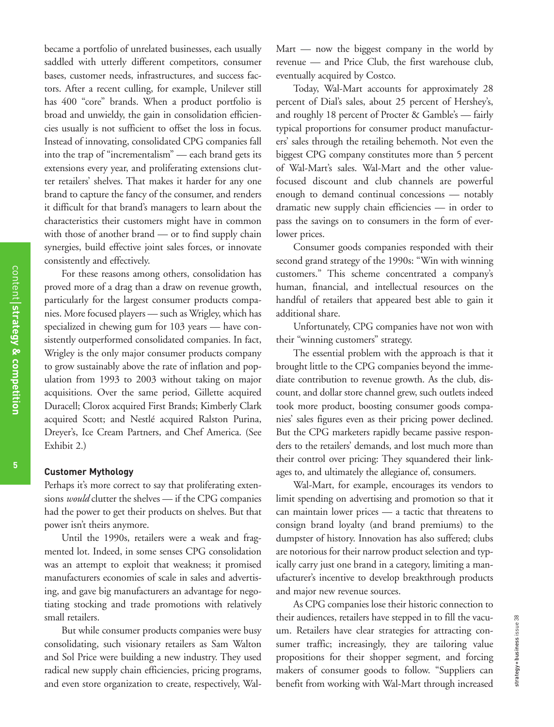became a portfolio of unrelated businesses, each usually saddled with utterly different competitors, consumer bases, customer needs, infrastructures, and success factors. After a recent culling, for example, Unilever still has 400 "core" brands. When a product portfolio is broad and unwieldy, the gain in consolidation efficiencies usually is not sufficient to offset the loss in focus. Instead of innovating, consolidated CPG companies fall into the trap of "incrementalism" — each brand gets its extensions every year, and proliferating extensions clutter retailers' shelves. That makes it harder for any one brand to capture the fancy of the consumer, and renders it difficult for that brand's managers to learn about the characteristics their customers might have in common with those of another brand — or to find supply chain synergies, build effective joint sales forces, or innovate consistently and effectively.

For these reasons among others, consolidation has proved more of a drag than a draw on revenue growth, particularly for the largest consumer products companies. More focused players — such as Wrigley, which has specialized in chewing gum for 103 years — have consistently outperformed consolidated companies. In fact, Wrigley is the only major consumer products company to grow sustainably above the rate of inflation and population from 1993 to 2003 without taking on major acquisitions. Over the same period, Gillette acquired Duracell; Clorox acquired First Brands; Kimberly Clark acquired Scott; and Nestlé acquired Ralston Purina, Dreyer's, Ice Cream Partners, and Chef America. (See Exhibit 2.)

# **Customer Mythology**

Perhaps it's more correct to say that proliferating extensions *would* clutter the shelves — if the CPG companies had the power to get their products on shelves. But that power isn't theirs anymore.

Until the 1990s, retailers were a weak and fragmented lot. Indeed, in some senses CPG consolidation was an attempt to exploit that weakness; it promised manufacturers economies of scale in sales and advertising, and gave big manufacturers an advantage for negotiating stocking and trade promotions with relatively small retailers.

But while consumer products companies were busy consolidating, such visionary retailers as Sam Walton and Sol Price were building a new industry. They used radical new supply chain efficiencies, pricing programs, and even store organization to create, respectively, WalMart — now the biggest company in the world by revenue — and Price Club, the first warehouse club, eventually acquired by Costco.

Today, Wal-Mart accounts for approximately 28 percent of Dial's sales, about 25 percent of Hershey's, and roughly 18 percent of Procter & Gamble's — fairly typical proportions for consumer product manufacturers' sales through the retailing behemoth. Not even the biggest CPG company constitutes more than 5 percent of Wal-Mart's sales. Wal-Mart and the other valuefocused discount and club channels are powerful enough to demand continual concessions — notably dramatic new supply chain efficiencies — in order to pass the savings on to consumers in the form of everlower prices.

Consumer goods companies responded with their second grand strategy of the 1990s: "Win with winning customers." This scheme concentrated a company's human, financial, and intellectual resources on the handful of retailers that appeared best able to gain it additional share.

Unfortunately, CPG companies have not won with their "winning customers" strategy.

The essential problem with the approach is that it brought little to the CPG companies beyond the immediate contribution to revenue growth. As the club, discount, and dollar store channel grew, such outlets indeed took more product, boosting consumer goods companies' sales figures even as their pricing power declined. But the CPG marketers rapidly became passive responders to the retailers' demands, and lost much more than their control over pricing: They squandered their linkages to, and ultimately the allegiance of, consumers.

Wal-Mart, for example, encourages its vendors to limit spending on advertising and promotion so that it can maintain lower prices — a tactic that threatens to consign brand loyalty (and brand premiums) to the dumpster of history. Innovation has also suffered; clubs are notorious for their narrow product selection and typically carry just one brand in a category, limiting a manufacturer's incentive to develop breakthrough products and major new revenue sources.

As CPG companies lose their historic connection to their audiences, retailers have stepped in to fill the vacuum. Retailers have clear strategies for attracting consumer traffic; increasingly, they are tailoring value propositions for their shopper segment, and forcing makers of consumer goods to follow. "Suppliers can benefit from working with Wal-Mart through increased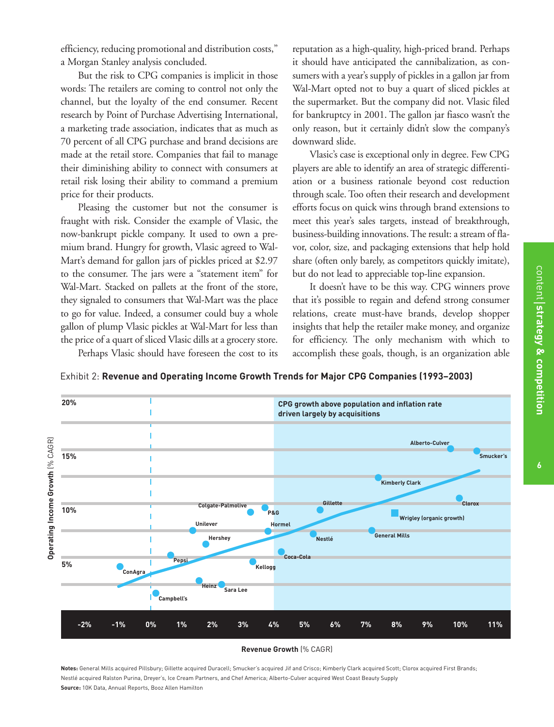efficiency, reducing promotional and distribution costs," a Morgan Stanley analysis concluded.

But the risk to CPG companies is implicit in those words: The retailers are coming to control not only the channel, but the loyalty of the end consumer. Recent research by Point of Purchase Advertising International, a marketing trade association, indicates that as much as 70 percent of all CPG purchase and brand decisions are made at the retail store. Companies that fail to manage their diminishing ability to connect with consumers at retail risk losing their ability to command a premium price for their products.

Pleasing the customer but not the consumer is fraught with risk. Consider the example of Vlasic, the now-bankrupt pickle company. It used to own a premium brand. Hungry for growth, Vlasic agreed to Wal-Mart's demand for gallon jars of pickles priced at \$2.97 to the consumer. The jars were a "statement item" for Wal-Mart. Stacked on pallets at the front of the store, they signaled to consumers that Wal-Mart was the place to go for value. Indeed, a consumer could buy a whole gallon of plump Vlasic pickles at Wal-Mart for less than the price of a quart of sliced Vlasic dills at a grocery store.

Perhaps Vlasic should have foreseen the cost to its

reputation as a high-quality, high-priced brand. Perhaps it should have anticipated the cannibalization, as consumers with a year's supply of pickles in a gallon jar from Wal-Mart opted not to buy a quart of sliced pickles at the supermarket. But the company did not. Vlasic filed for bankruptcy in 2001. The gallon jar fiasco wasn't the only reason, but it certainly didn't slow the company's downward slide.

Vlasic's case is exceptional only in degree. Few CPG players are able to identify an area of strategic differentiation or a business rationale beyond cost reduction through scale. Too often their research and development efforts focus on quick wins through brand extensions to meet this year's sales targets, instead of breakthrough, business-building innovations. The result: a stream of flavor, color, size, and packaging extensions that help hold share (often only barely, as competitors quickly imitate), but do not lead to appreciable top-line expansion.

It doesn't have to be this way. CPG winners prove that it's possible to regain and defend strong consumer relations, create must-have brands, develop shopper insights that help the retailer make money, and organize for efficiency. The only mechanism with which to accomplish these goals, though, is an organization able

Exhibit 2: **Revenue and Operating Income Growth Trends for Major CPG Companies (1993–2003)**



**Revenue Growth** (% CAGR)

**Notes:** General Mills acquired Pillsbury; Gillette acquired Duracell; Smucker's acquired Jif and Crisco; Kimberly Clark acquired Scott; Clorox acquired First Brands; Nestlé acquired Ralston Purina, Dreyer's, Ice Cream Partners, and Chef America; Alberto-Culver acquired West Coast Beauty Supply **Source:** 10K Data, Annual Reports, Booz Allen Hamilton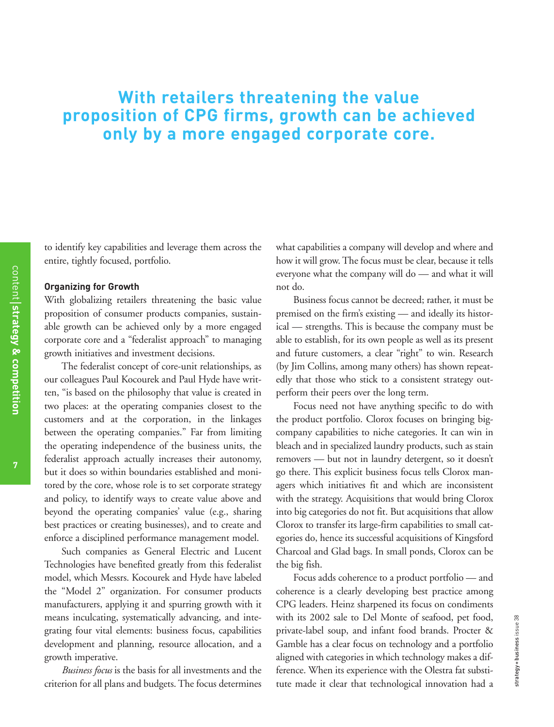# **With retailers threatening the value proposition of CPG firms, growth can be achieved only by a more engaged corporate core.**

to identify key capabilities and leverage them across the entire, tightly focused, portfolio.

# **Organizing for Growth**

With globalizing retailers threatening the basic value proposition of consumer products companies, sustainable growth can be achieved only by a more engaged corporate core and a "federalist approach" to managing growth initiatives and investment decisions.

The federalist concept of core-unit relationships, as our colleagues Paul Kocourek and Paul Hyde have written, "is based on the philosophy that value is created in two places: at the operating companies closest to the customers and at the corporation, in the linkages between the operating companies." Far from limiting the operating independence of the business units, the federalist approach actually increases their autonomy, but it does so within boundaries established and monitored by the core, whose role is to set corporate strategy and policy, to identify ways to create value above and beyond the operating companies' value (e.g., sharing best practices or creating businesses), and to create and enforce a disciplined performance management model.

Such companies as General Electric and Lucent Technologies have benefited greatly from this federalist model, which Messrs. Kocourek and Hyde have labeled the "Model 2" organization. For consumer products manufacturers, applying it and spurring growth with it means inculcating, systematically advancing, and integrating four vital elements: business focus, capabilities development and planning, resource allocation, and a growth imperative.

*Business focus* is the basis for all investments and the criterion for all plans and budgets. The focus determines what capabilities a company will develop and where and how it will grow. The focus must be clear, because it tells everyone what the company will do — and what it will not do.

Business focus cannot be decreed; rather, it must be premised on the firm's existing — and ideally its historical — strengths. This is because the company must be able to establish, for its own people as well as its present and future customers, a clear "right" to win. Research (by Jim Collins, among many others) has shown repeatedly that those who stick to a consistent strategy outperform their peers over the long term.

Focus need not have anything specific to do with the product portfolio. Clorox focuses on bringing bigcompany capabilities to niche categories. It can win in bleach and in specialized laundry products, such as stain removers — but not in laundry detergent, so it doesn't go there. This explicit business focus tells Clorox managers which initiatives fit and which are inconsistent with the strategy. Acquisitions that would bring Clorox into big categories do not fit. But acquisitions that allow Clorox to transfer its large-firm capabilities to small categories do, hence its successful acquisitions of Kingsford Charcoal and Glad bags. In small ponds, Clorox can be the big fish.

Focus adds coherence to a product portfolio — and coherence is a clearly developing best practice among CPG leaders. Heinz sharpened its focus on condiments with its 2002 sale to Del Monte of seafood, pet food, private-label soup, and infant food brands. Procter & Gamble has a clear focus on technology and a portfolio aligned with categories in which technology makes a difference. When its experience with the Olestra fat substitute made it clear that technological innovation had a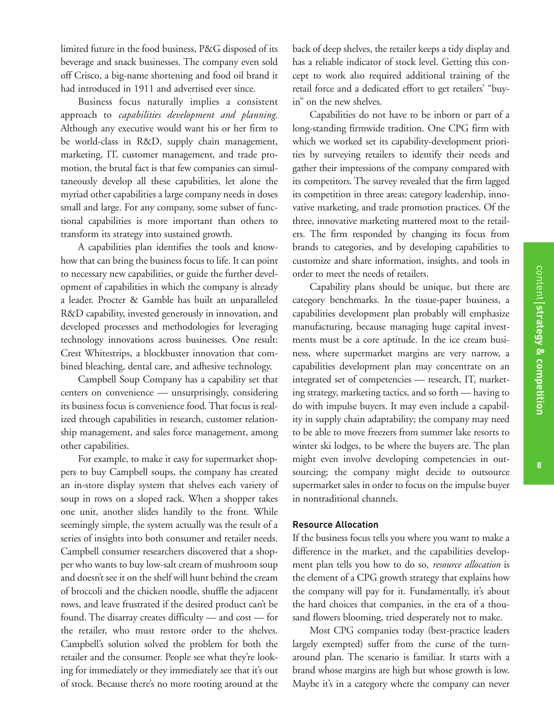limited future in the food business, P&G disposed of its beverage and snack businesses. The company even sold off Crisco, a big-name shortening and food oil brand it had introduced in 1911 and advertised ever since.

Business focus naturally implies a consistent approach to *capabilities development and planning.* Although any executive would want his or her firm to be world-class in R&D, supply chain management, marketing, IT, customer management, and trade promotion, the brutal fact is that few companies can simultaneously develop all these capabilities, let alone the myriad other capabilities a large company needs in doses small and large. For any company, some subset of functional capabilities is more important than others to transform its strategy into sustained growth.

A capabilities plan identifies the tools and knowhow that can bring the business focus to life. It can point to necessary new capabilities, or guide the further development of capabilities in which the company is already a leader. Procter & Gamble has built an unparalleled R&D capability, invested generously in innovation, and developed processes and methodologies for leveraging technology innovations across businesses. One result: Crest Whitestrips, a blockbuster innovation that combined bleaching, dental care, and adhesive technology.

Campbell Soup Company has a capability set that centers on convenience — unsurprisingly, considering its business focus is convenience food. That focus is realized through capabilities in research, customer relationship management, and sales force management, among other capabilities.

For example, to make it easy for supermarket shoppers to buy Campbell soups, the company has created an in-store display system that shelves each variety of soup in rows on a sloped rack. When a shopper takes one unit, another slides handily to the front. While seemingly simple, the system actually was the result of a series of insights into both consumer and retailer needs. Campbell consumer researchers discovered that a shopper who wants to buy low-salt cream of mushroom soup and doesn't see it on the shelf will hunt behind the cream of broccoli and the chicken noodle, shuffle the adjacent rows, and leave frustrated if the desired product can't be found. The disarray creates difficulty — and cost — for the retailer, who must restore order to the shelves. Campbell's solution solved the problem for both the retailer and the consumer. People see what they're looking for immediately or they immediately see that it's out of stock. Because there's no more rooting around at the back of deep shelves, the retailer keeps a tidy display and has a reliable indicator of stock level. Getting this concept to work also required additional training of the retail force and a dedicated effort to get retailers' "buyin" on the new shelves.

Capabilities do not have to be inborn or part of a long-standing firmwide tradition. One CPG firm with which we worked set its capability-development priorities by surveying retailers to identify their needs and gather their impressions of the company compared with its competitors. The survey revealed that the firm lagged its competition in three areas: category leadership, innovative marketing, and trade promotion practices. Of the three, innovative marketing mattered most to the retailers. The firm responded by changing its focus from brands to categories, and by developing capabilities to customize and share information, insights, and tools in order to meet the needs of retailers.

Capability plans should be unique, but there are category benchmarks. In the tissue-paper business, a capabilities development plan probably will emphasize manufacturing, because managing huge capital investments must be a core aptitude. In the ice cream business, where supermarket margins are very narrow, a capabilities development plan may concentrate on an integrated set of competencies — research, IT, marketing strategy, marketing tactics, and so forth — having to do with impulse buyers. It may even include a capability in supply chain adaptability; the company may need to be able to move freezers from summer lake resorts to winter ski lodges, to be where the buyers are. The plan might even involve developing competencies in outsourcing; the company might decide to outsource supermarket sales in order to focus on the impulse buyer in nontraditional channels.

# **Resource Allocation**

If the business focus tells you where you want to make a difference in the market, and the capabilities development plan tells you how to do so, *resource allocation* is the element of a CPG growth strategy that explains how the company will pay for it. Fundamentally, it's about the hard choices that companies, in the era of a thousand flowers blooming, tried desperately not to make.

Most CPG companies today (best-practice leaders largely exempted) suffer from the curse of the turnaround plan. The scenario is familiar. It starts with a brand whose margins are high but whose growth is low. Maybe it's in a category where the company can never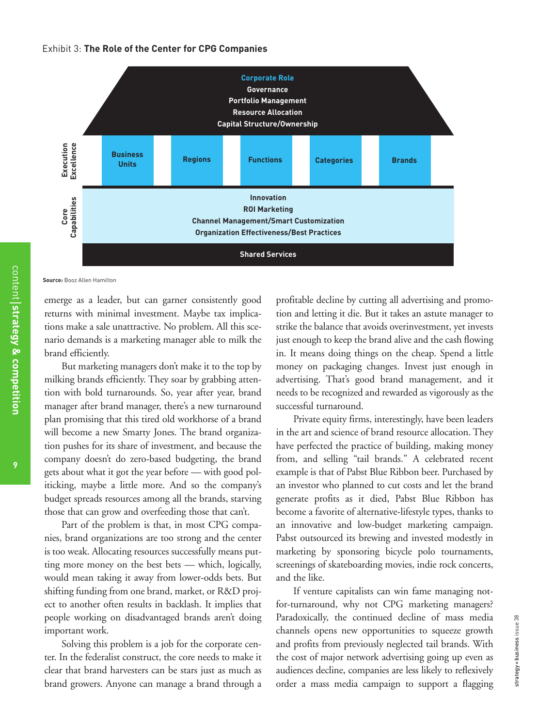# Exhibit 3: **The Role of the Center for CPG Companies**



**Source:** Booz Allen Hamilton

emerge as a leader, but can garner consistently good returns with minimal investment. Maybe tax implications make a sale unattractive. No problem. All this scenario demands is a marketing manager able to milk the brand efficiently.

But marketing managers don't make it to the top by milking brands efficiently. They soar by grabbing attention with bold turnarounds. So, year after year, brand manager after brand manager, there's a new turnaround plan promising that this tired old workhorse of a brand will become a new Smarty Jones. The brand organization pushes for its share of investment, and because the company doesn't do zero-based budgeting, the brand gets about what it got the year before — with good politicking, maybe a little more. And so the company's budget spreads resources among all the brands, starving those that can grow and overfeeding those that can't.

Part of the problem is that, in most CPG companies, brand organizations are too strong and the center is too weak. Allocating resources successfully means putting more money on the best bets — which, logically, would mean taking it away from lower-odds bets. But shifting funding from one brand, market, or R&D project to another often results in backlash. It implies that people working on disadvantaged brands aren't doing important work.

Solving this problem is a job for the corporate center. In the federalist construct, the core needs to make it clear that brand harvesters can be stars just as much as brand growers. Anyone can manage a brand through a

profitable decline by cutting all advertising and promotion and letting it die. But it takes an astute manager to strike the balance that avoids overinvestment, yet invests just enough to keep the brand alive and the cash flowing in. It means doing things on the cheap. Spend a little money on packaging changes. Invest just enough in advertising. That's good brand management, and it needs to be recognized and rewarded as vigorously as the successful turnaround.

Private equity firms, interestingly, have been leaders in the art and science of brand resource allocation. They have perfected the practice of building, making money from, and selling "tail brands." A celebrated recent example is that of Pabst Blue Ribbon beer. Purchased by an investor who planned to cut costs and let the brand generate profits as it died, Pabst Blue Ribbon has become a favorite of alternative-lifestyle types, thanks to an innovative and low-budget marketing campaign. Pabst outsourced its brewing and invested modestly in marketing by sponsoring bicycle polo tournaments, screenings of skateboarding movies, indie rock concerts, and the like.

If venture capitalists can win fame managing notfor-turnaround, why not CPG marketing managers? Paradoxically, the continued decline of mass media channels opens new opportunities to squeeze growth and profits from previously neglected tail brands. With the cost of major network advertising going up even as audiences decline, companies are less likely to reflexively order a mass media campaign to support a flagging